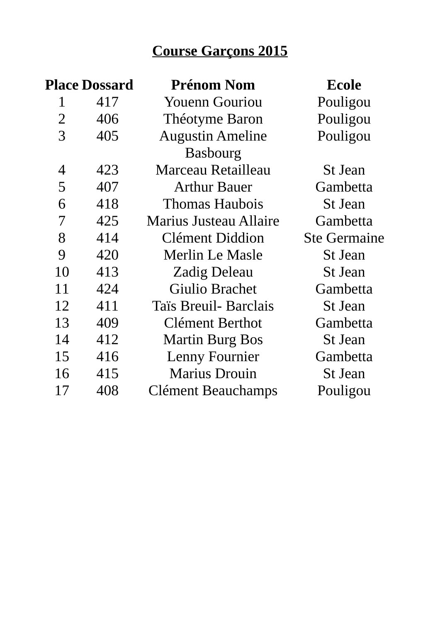|                | <b>Place Dossard</b> | <b>Prénom Nom</b>             | <b>Ecole</b>        |
|----------------|----------------------|-------------------------------|---------------------|
| 1              | 417                  | <b>Youenn Gouriou</b>         | Pouligou            |
| $\overline{2}$ | 406                  | Théotyme Baron                | Pouligou            |
| 3              | 405                  | <b>Augustin Ameline</b>       | Pouligou            |
|                |                      | <b>Basbourg</b>               |                     |
| 4              | 423                  | Marceau Retailleau            | <b>St Jean</b>      |
| 5              | 407                  | Arthur Bauer                  | Gambetta            |
| 6              | 418                  | <b>Thomas Haubois</b>         | <b>St Jean</b>      |
| 7              | 425                  | <b>Marius Justeau Allaire</b> | Gambetta            |
| 8              | 414                  | <b>Clément Diddion</b>        | <b>Ste Germaine</b> |
| 9              | 420                  | Merlin Le Masle               | <b>St Jean</b>      |
| 10             | 413                  | <b>Zadig Deleau</b>           | <b>St Jean</b>      |
| 11             | 424                  | <b>Giulio Brachet</b>         | Gambetta            |
| 12             | 411                  | <b>Taïs Breuil- Barclais</b>  | <b>St Jean</b>      |
| 13             | 409                  | Clément Berthot               | Gambetta            |
| 14             | 412                  | <b>Martin Burg Bos</b>        | <b>St Jean</b>      |
| 15             | 416                  | <b>Lenny Fournier</b>         | Gambetta            |
| 16             | 415                  | <b>Marius Drouin</b>          | <b>St Jean</b>      |
| 17             | 408                  | <b>Clément Beauchamps</b>     | Pouligou            |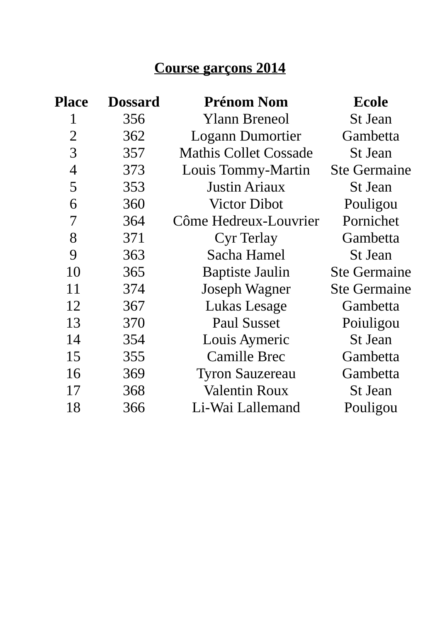| <b>Place</b>   | <b>Dossard</b> | <b>Prénom Nom</b>            | <b>Ecole</b>        |
|----------------|----------------|------------------------------|---------------------|
| 1              | 356            | <b>Ylann Breneol</b>         | <b>St Jean</b>      |
| $\overline{2}$ | 362            | <b>Logann Dumortier</b>      | Gambetta            |
| 3              | 357            | <b>Mathis Collet Cossade</b> | <b>St Jean</b>      |
| 4              | 373            | Louis Tommy-Martin           | <b>Ste Germaine</b> |
| 5              | 353            | <b>Justin Ariaux</b>         | <b>St Jean</b>      |
| 6              | 360            | <b>Victor Dibot</b>          | Pouligou            |
| 7              | 364            | Côme Hedreux-Louvrier        | Pornichet           |
| 8              | 371            | <b>Cyr Terlay</b>            | Gambetta            |
| 9              | 363            | Sacha Hamel                  | <b>St Jean</b>      |
| 10             | 365            | <b>Baptiste Jaulin</b>       | <b>Ste Germaine</b> |
| 11             | 374            | Joseph Wagner                | <b>Ste Germaine</b> |
| 12             | 367            | Lukas Lesage                 | Gambetta            |
| 13             | 370            | <b>Paul Susset</b>           | Poiuligou           |
| 14             | 354            | <b>Louis Aymeric</b>         | <b>St Jean</b>      |
| 15             | 355            | <b>Camille Brec</b>          | <b>Gambetta</b>     |
| 16             | 369            | <b>Tyron Sauzereau</b>       | Gambetta            |
| 17             | 368            | <b>Valentin Roux</b>         | <b>St Jean</b>      |
| 18             | 366            | Li-Wai Lallemand             | Pouligou            |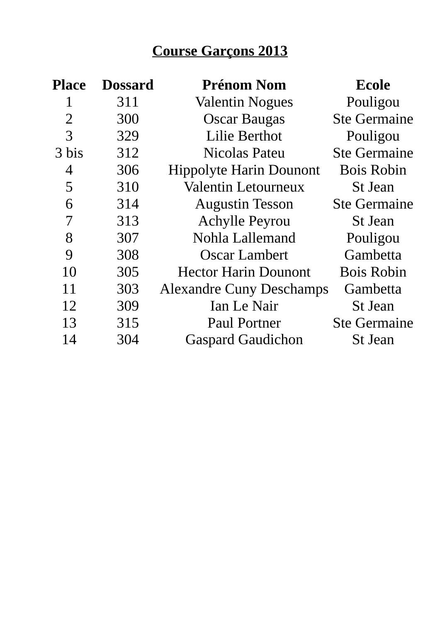| <b>Place</b>   | <b>Dossard</b> | <b>Prénom Nom</b>               | <b>Ecole</b>        |
|----------------|----------------|---------------------------------|---------------------|
| 1              | 311            | <b>Valentin Nogues</b>          | Pouligou            |
| $\overline{2}$ | 300            | <b>Oscar Baugas</b>             | <b>Ste Germaine</b> |
| 3              | 329            | <b>Lilie Berthot</b>            | Pouligou            |
| 3 bis          | 312            | <b>Nicolas Pateu</b>            | <b>Ste Germaine</b> |
| 4              | 306            | <b>Hippolyte Harin Dounont</b>  | <b>Bois Robin</b>   |
| 5              | 310            | <b>Valentin Letourneux</b>      | <b>St Jean</b>      |
| 6              | 314            | <b>Augustin Tesson</b>          | <b>Ste Germaine</b> |
| 7              | 313            | <b>Achylle Peyrou</b>           | <b>St Jean</b>      |
| 8              | 307            | Nohla Lallemand                 | Pouligou            |
| 9              | 308            | Oscar Lambert                   | Gambetta            |
| 10             | 305            | <b>Hector Harin Dounont</b>     | <b>Bois Robin</b>   |
| 11             | 303            | <b>Alexandre Cuny Deschamps</b> | Gambetta            |
| 12             | 309            | Ian Le Nair                     | <b>St Jean</b>      |
| 13             | 315            | Paul Portner                    | <b>Ste Germaine</b> |
| 14             | 304            | <b>Gaspard Gaudichon</b>        | <b>St Jean</b>      |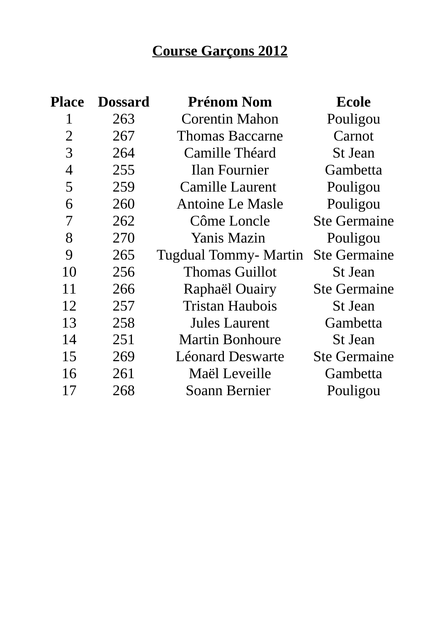| Place          | <b>Dossard</b> | <b>Prénom Nom</b>       | Ecole               |
|----------------|----------------|-------------------------|---------------------|
| 1              | 263            | <b>Corentin Mahon</b>   | Pouligou            |
| $\overline{2}$ | 267            | <b>Thomas Baccarne</b>  | Carnot              |
| 3              | 264            | Camille Théard          | <b>St Jean</b>      |
| 4              | 255            | Ilan Fournier           | Gambetta            |
| 5              | 259            | Camille Laurent         | Pouligou            |
| 6              | 260            | <b>Antoine Le Masle</b> | Pouligou            |
| 7              | 262            | Côme Loncle             | <b>Ste Germaine</b> |
| 8              | 270            | <b>Yanis Mazin</b>      | Pouligou            |
| 9              | 265            | Tugdual Tommy- Martin   | <b>Ste Germaine</b> |
| 10             | 256            | <b>Thomas Guillot</b>   | <b>St Jean</b>      |
| 11             | 266            | Raphaël Ouairy          | <b>Ste Germaine</b> |
| 12             | 257            | <b>Tristan Haubois</b>  | <b>St Jean</b>      |
| 13             | 258            | Jules Laurent           | Gambetta            |
| 14             | 251            | <b>Martin Bonhoure</b>  | <b>St Jean</b>      |
| 15             | 269            | Léonard Deswarte        | <b>Ste Germaine</b> |
| 16             | 261            | Maël Leveille           | Gambetta            |
| 17             | 268            | Soann Bernier           | Pouligou            |